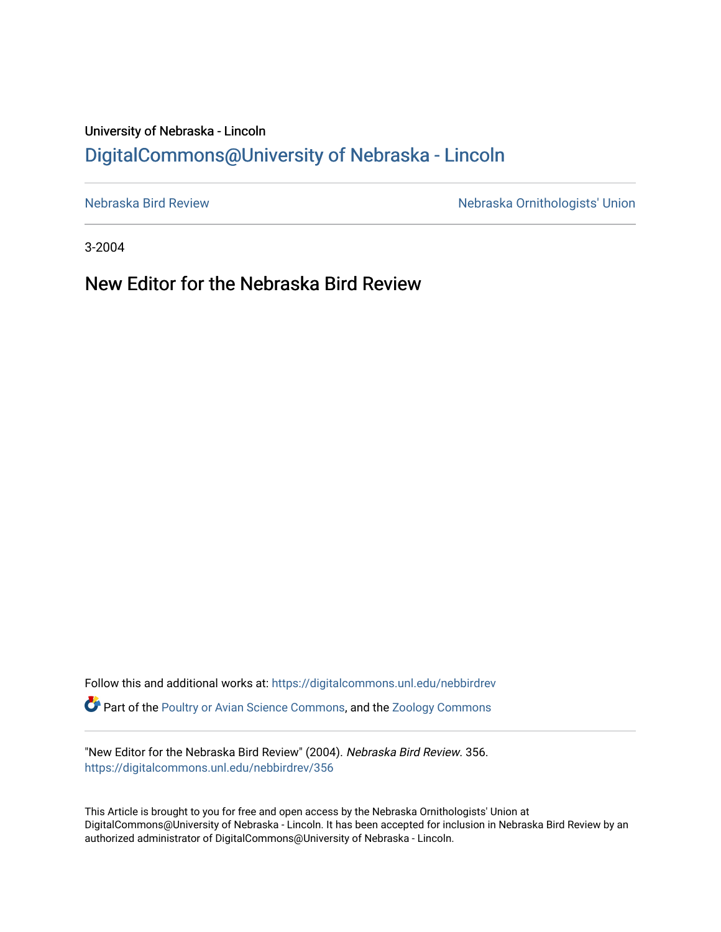## University of Nebraska - Lincoln [DigitalCommons@University of Nebraska - Lincoln](https://digitalcommons.unl.edu/)

[Nebraska Bird Review](https://digitalcommons.unl.edu/nebbirdrev) [Nebraska Ornithologists' Union](https://digitalcommons.unl.edu/nebornithologists) 

3-2004

New Editor for the Nebraska Bird Review

Follow this and additional works at: [https://digitalcommons.unl.edu/nebbirdrev](https://digitalcommons.unl.edu/nebbirdrev?utm_source=digitalcommons.unl.edu%2Fnebbirdrev%2F356&utm_medium=PDF&utm_campaign=PDFCoverPages) Part of the [Poultry or Avian Science Commons](http://network.bepress.com/hgg/discipline/80?utm_source=digitalcommons.unl.edu%2Fnebbirdrev%2F356&utm_medium=PDF&utm_campaign=PDFCoverPages), and the [Zoology Commons](http://network.bepress.com/hgg/discipline/81?utm_source=digitalcommons.unl.edu%2Fnebbirdrev%2F356&utm_medium=PDF&utm_campaign=PDFCoverPages) 

"New Editor for the Nebraska Bird Review" (2004). Nebraska Bird Review. 356. [https://digitalcommons.unl.edu/nebbirdrev/356](https://digitalcommons.unl.edu/nebbirdrev/356?utm_source=digitalcommons.unl.edu%2Fnebbirdrev%2F356&utm_medium=PDF&utm_campaign=PDFCoverPages)

This Article is brought to you for free and open access by the Nebraska Ornithologists' Union at DigitalCommons@University of Nebraska - Lincoln. It has been accepted for inclusion in Nebraska Bird Review by an authorized administrator of DigitalCommons@University of Nebraska - Lincoln.